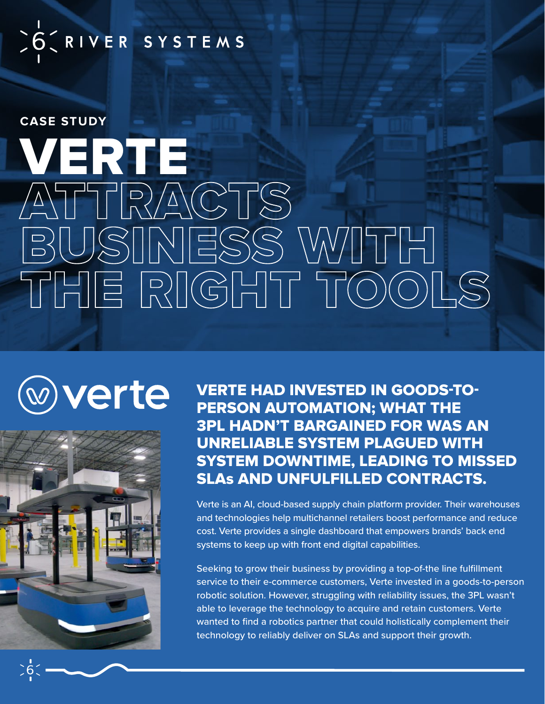## SO CRIVER SYSTEMS

**CASE STUDY**

# VERTE ATTRACTS BUSINESS WITH THE RIGHT TOOLS

## verte



VERTE HAD INVESTED IN GOODS-TO-PERSON AUTOMATION; WHAT THE 3PL HADN'T BARGAINED FOR WAS AN UNRELIABLE SYSTEM PLAGUED WITH SYSTEM DOWNTIME, LEADING TO MISSED SLAs AND UNFULFILLED CONTRACTS.

Verte is an AI, cloud-based supply chain platform provider. Their warehouses and technologies help multichannel retailers boost performance and reduce cost. Verte provides a single dashboard that empowers brands' back end systems to keep up with front end digital capabilities.

Seeking to grow their business by providing a top-of-the line fulfillment service to their e-commerce customers, Verte invested in a goods-to-person robotic solution. However, struggling with reliability issues, the 3PL wasn't able to leverage the technology to acquire and retain customers. Verte wanted to find a robotics partner that could holistically complement their technology to reliably deliver on SLAs and support their growth.